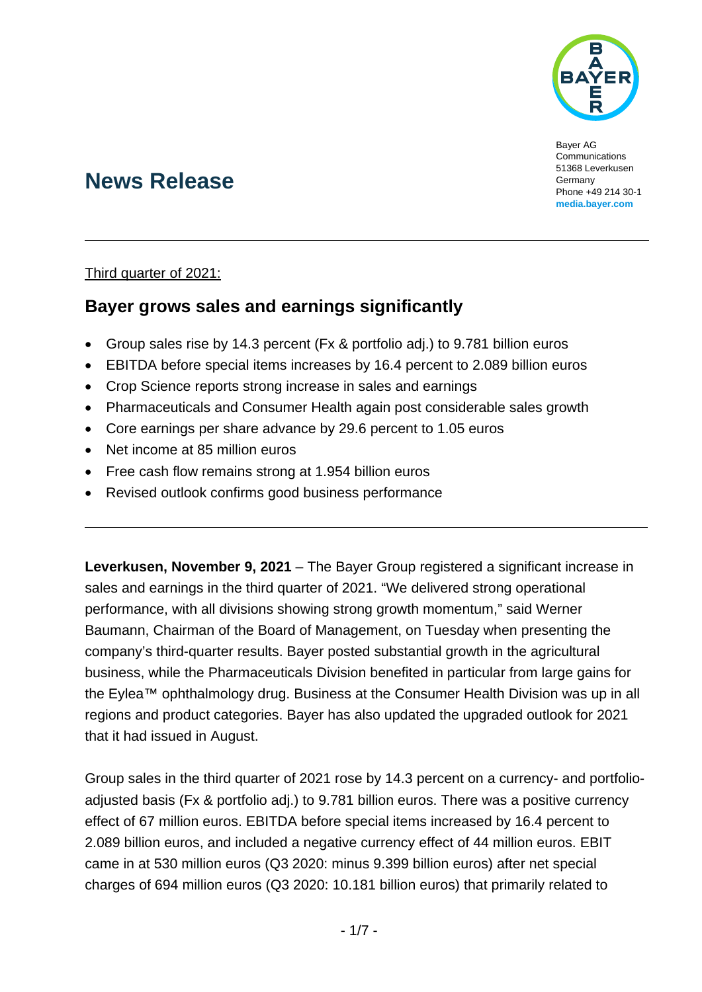

Bayer AG Communications 51368 Leverkusen Germany Phone +49 214 30-1 **[media.bayer.com](http://media.bayer.com/)**

# **News Release**

#### Third quarter of 2021:

# **Bayer grows sales and earnings significantly**

- Group sales rise by 14.3 percent (Fx & portfolio adj.) to 9.781 billion euros
- EBITDA before special items increases by 16.4 percent to 2.089 billion euros
- Crop Science reports strong increase in sales and earnings
- Pharmaceuticals and Consumer Health again post considerable sales growth
- Core earnings per share advance by 29.6 percent to 1.05 euros
- Net income at 85 million euros
- Free cash flow remains strong at 1.954 billion euros
- Revised outlook confirms good business performance

**Leverkusen, November 9, 2021** – The Bayer Group registered a significant increase in sales and earnings in the third quarter of 2021. "We delivered strong operational performance, with all divisions showing strong growth momentum," said Werner Baumann, Chairman of the Board of Management, on Tuesday when presenting the company's third-quarter results. Bayer posted substantial growth in the agricultural business, while the Pharmaceuticals Division benefited in particular from large gains for the Eylea™ ophthalmology drug. Business at the Consumer Health Division was up in all regions and product categories. Bayer has also updated the upgraded outlook for 2021 that it had issued in August.

Group sales in the third quarter of 2021 rose by 14.3 percent on a currency- and portfolioadjusted basis (Fx & portfolio adj.) to 9.781 billion euros. There was a positive currency effect of 67 million euros. EBITDA before special items increased by 16.4 percent to 2.089 billion euros, and included a negative currency effect of 44 million euros. EBIT came in at 530 million euros (Q3 2020: minus 9.399 billion euros) after net special charges of 694 million euros (Q3 2020: 10.181 billion euros) that primarily related to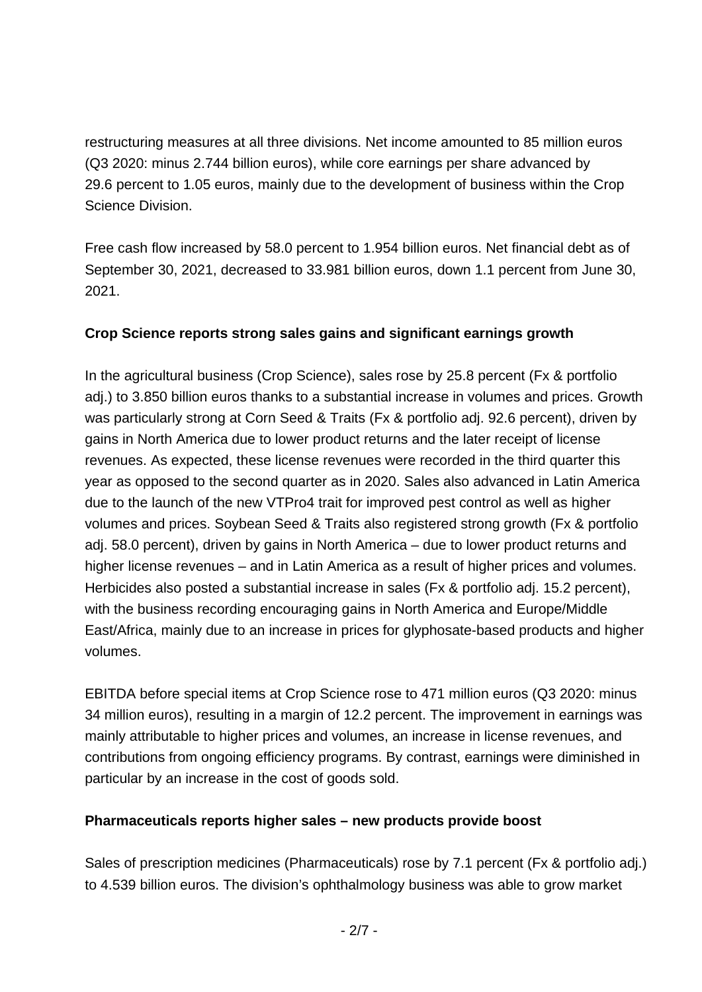restructuring measures at all three divisions. Net income amounted to 85 million euros (Q3 2020: minus 2.744 billion euros), while core earnings per share advanced by 29.6 percent to 1.05 euros, mainly due to the development of business within the Crop Science Division.

Free cash flow increased by 58.0 percent to 1.954 billion euros. Net financial debt as of September 30, 2021, decreased to 33.981 billion euros, down 1.1 percent from June 30, 2021.

## **Crop Science reports strong sales gains and significant earnings growth**

In the agricultural business (Crop Science), sales rose by 25.8 percent (Fx & portfolio adj.) to 3.850 billion euros thanks to a substantial increase in volumes and prices. Growth was particularly strong at Corn Seed & Traits (Fx & portfolio adj. 92.6 percent), driven by gains in North America due to lower product returns and the later receipt of license revenues. As expected, these license revenues were recorded in the third quarter this year as opposed to the second quarter as in 2020. Sales also advanced in Latin America due to the launch of the new VTPro4 trait for improved pest control as well as higher volumes and prices. Soybean Seed & Traits also registered strong growth (Fx & portfolio adj. 58.0 percent), driven by gains in North America – due to lower product returns and higher license revenues – and in Latin America as a result of higher prices and volumes. Herbicides also posted a substantial increase in sales (Fx & portfolio adj. 15.2 percent), with the business recording encouraging gains in North America and Europe/Middle East/Africa, mainly due to an increase in prices for glyphosate-based products and higher volumes.

EBITDA before special items at Crop Science rose to 471 million euros (Q3 2020: minus 34 million euros), resulting in a margin of 12.2 percent. The improvement in earnings was mainly attributable to higher prices and volumes, an increase in license revenues, and contributions from ongoing efficiency programs. By contrast, earnings were diminished in particular by an increase in the cost of goods sold.

## **Pharmaceuticals reports higher sales – new products provide boost**

Sales of prescription medicines (Pharmaceuticals) rose by 7.1 percent (Fx & portfolio adj.) to 4.539 billion euros. The division's ophthalmology business was able to grow market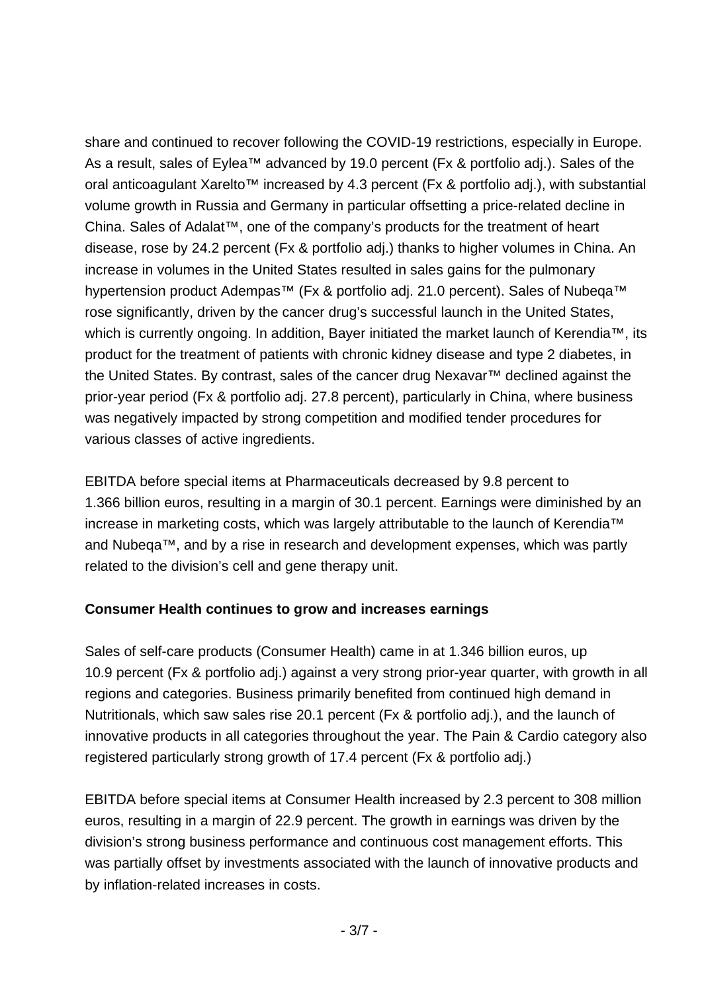share and continued to recover following the COVID-19 restrictions, especially in Europe. As a result, sales of Eylea™ advanced by 19.0 percent (Fx & portfolio adj.). Sales of the oral anticoagulant Xarelto™ increased by 4.3 percent (Fx & portfolio adj.), with substantial volume growth in Russia and Germany in particular offsetting a price-related decline in China. Sales of Adalat™, one of the company's products for the treatment of heart disease, rose by 24.2 percent (Fx & portfolio adj.) thanks to higher volumes in China. An increase in volumes in the United States resulted in sales gains for the pulmonary hypertension product Adempas<sup>™</sup> (Fx & portfolio adj. 21.0 percent). Sales of Nubeqa<sup>™</sup> rose significantly, driven by the cancer drug's successful launch in the United States, which is currently ongoing. In addition, Bayer initiated the market launch of Kerendia™, its product for the treatment of patients with chronic kidney disease and type 2 diabetes, in the United States. By contrast, sales of the cancer drug Nexavar™ declined against the prior-year period (Fx & portfolio adj. 27.8 percent), particularly in China, where business was negatively impacted by strong competition and modified tender procedures for various classes of active ingredients.

EBITDA before special items at Pharmaceuticals decreased by 9.8 percent to 1.366 billion euros, resulting in a margin of 30.1 percent. Earnings were diminished by an increase in marketing costs, which was largely attributable to the launch of Kerendia™ and Nubeqa™, and by a rise in research and development expenses, which was partly related to the division's cell and gene therapy unit.

## **Consumer Health continues to grow and increases earnings**

Sales of self-care products (Consumer Health) came in at 1.346 billion euros, up 10.9 percent (Fx & portfolio adj.) against a very strong prior-year quarter, with growth in all regions and categories. Business primarily benefited from continued high demand in Nutritionals, which saw sales rise 20.1 percent (Fx & portfolio adj.), and the launch of innovative products in all categories throughout the year. The Pain & Cardio category also registered particularly strong growth of 17.4 percent (Fx & portfolio adj.)

EBITDA before special items at Consumer Health increased by 2.3 percent to 308 million euros, resulting in a margin of 22.9 percent. The growth in earnings was driven by the division's strong business performance and continuous cost management efforts. This was partially offset by investments associated with the launch of innovative products and by inflation-related increases in costs.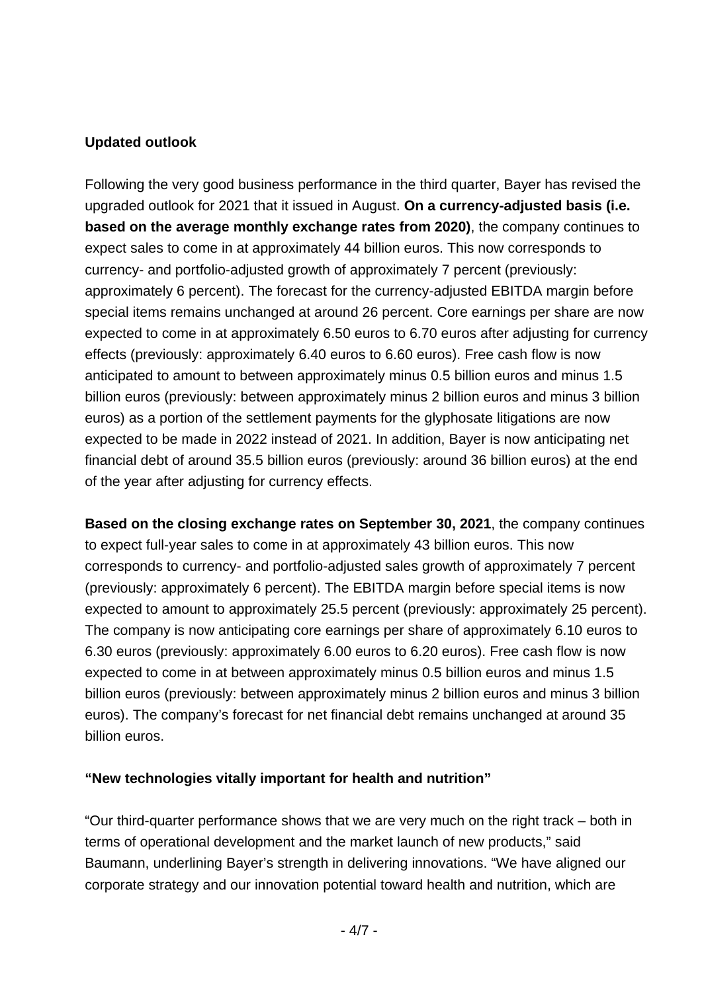#### **Updated outlook**

Following the very good business performance in the third quarter, Bayer has revised the upgraded outlook for 2021 that it issued in August. **On a currency-adjusted basis (i.e. based on the average monthly exchange rates from 2020)**, the company continues to expect sales to come in at approximately 44 billion euros. This now corresponds to currency- and portfolio-adjusted growth of approximately 7 percent (previously: approximately 6 percent). The forecast for the currency-adjusted EBITDA margin before special items remains unchanged at around 26 percent. Core earnings per share are now expected to come in at approximately 6.50 euros to 6.70 euros after adjusting for currency effects (previously: approximately 6.40 euros to 6.60 euros). Free cash flow is now anticipated to amount to between approximately minus 0.5 billion euros and minus 1.5 billion euros (previously: between approximately minus 2 billion euros and minus 3 billion euros) as a portion of the settlement payments for the glyphosate litigations are now expected to be made in 2022 instead of 2021. In addition, Bayer is now anticipating net financial debt of around 35.5 billion euros (previously: around 36 billion euros) at the end of the year after adjusting for currency effects.

**Based on the closing exchange rates on September 30, 2021**, the company continues to expect full-year sales to come in at approximately 43 billion euros. This now corresponds to currency- and portfolio-adjusted sales growth of approximately 7 percent (previously: approximately 6 percent). The EBITDA margin before special items is now expected to amount to approximately 25.5 percent (previously: approximately 25 percent). The company is now anticipating core earnings per share of approximately 6.10 euros to 6.30 euros (previously: approximately 6.00 euros to 6.20 euros). Free cash flow is now expected to come in at between approximately minus 0.5 billion euros and minus 1.5 billion euros (previously: between approximately minus 2 billion euros and minus 3 billion euros). The company's forecast for net financial debt remains unchanged at around 35 billion euros.

## **"New technologies vitally important for health and nutrition"**

"Our third-quarter performance shows that we are very much on the right track – both in terms of operational development and the market launch of new products," said Baumann, underlining Bayer's strength in delivering innovations. "We have aligned our corporate strategy and our innovation potential toward health and nutrition, which are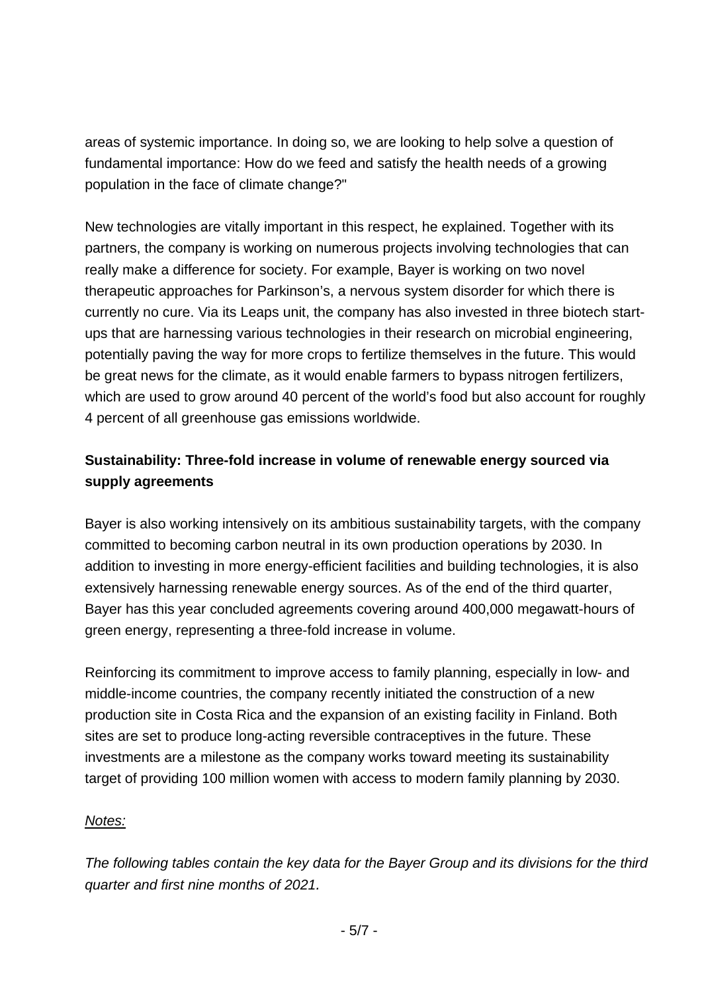areas of systemic importance. In doing so, we are looking to help solve a question of fundamental importance: How do we feed and satisfy the health needs of a growing population in the face of climate change?"

New technologies are vitally important in this respect, he explained. Together with its partners, the company is working on numerous projects involving technologies that can really make a difference for society. For example, Bayer is working on two novel therapeutic approaches for Parkinson's, a nervous system disorder for which there is currently no cure. Via its Leaps unit, the company has also invested in three biotech startups that are harnessing various technologies in their research on microbial engineering, potentially paving the way for more crops to fertilize themselves in the future. This would be great news for the climate, as it would enable farmers to bypass nitrogen fertilizers, which are used to grow around 40 percent of the world's food but also account for roughly 4 percent of all greenhouse gas emissions worldwide.

## **Sustainability: Three-fold increase in volume of renewable energy sourced via supply agreements**

Bayer is also working intensively on its ambitious sustainability targets, with the company committed to becoming carbon neutral in its own production operations by 2030. In addition to investing in more energy-efficient facilities and building technologies, it is also extensively harnessing renewable energy sources. As of the end of the third quarter, Bayer has this year concluded agreements covering around 400,000 megawatt-hours of green energy, representing a three-fold increase in volume.

Reinforcing its commitment to improve access to family planning, especially in low- and middle-income countries, the company recently initiated the construction of a new production site in Costa Rica and the expansion of an existing facility in Finland. Both sites are set to produce long-acting reversible contraceptives in the future. These investments are a milestone as the company works toward meeting its sustainability target of providing 100 million women with access to modern family planning by 2030.

#### *Notes:*

*The following tables contain the key data for the Bayer Group and its divisions for the third quarter and first nine months of 2021.*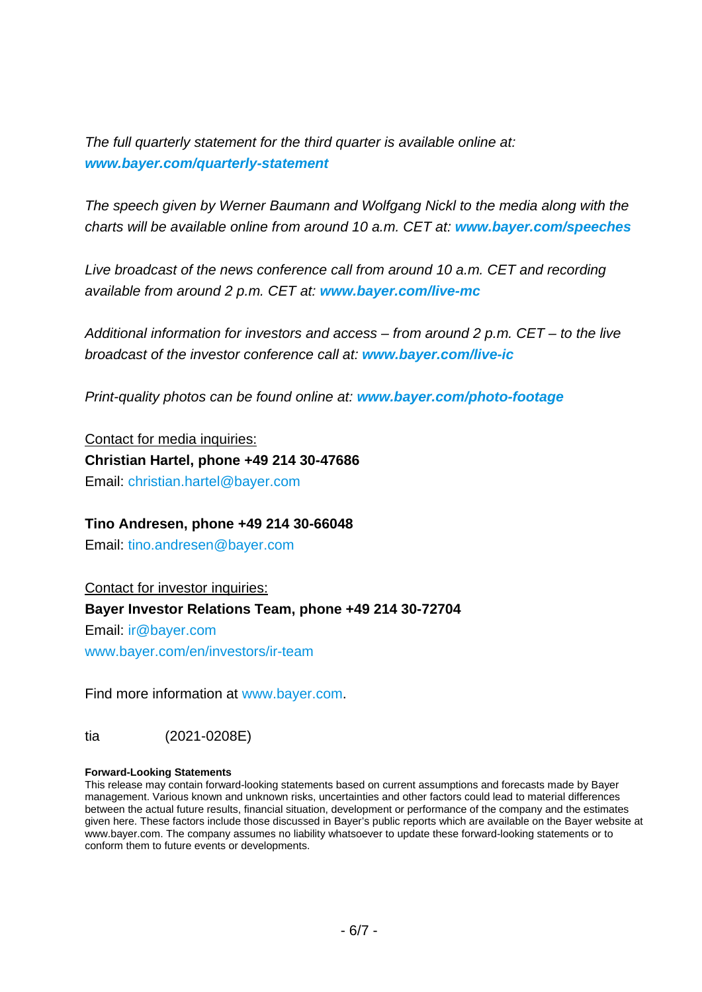*The full quarterly statement for the third quarter is available online at: [www.bayer.com/quarterly-statement](https://www.bayer.com/quarterly-statement)*

*The speech given by Werner Baumann and Wolfgang Nickl to the media along with the charts will be available online from around 10 a.m. CET at: [www.bayer.com/speeches](https://www.bayer.com/speeches)*

*Live broadcast of the news conference call from around 10 a.m. CET and recording available from around 2 p.m. CET at: [www.bayer.com/live-mc](https://www.bayer.com/live-mc)*

*Additional information for investors and access – from around 2 p.m. CET – to the live broadcast of the investor conference call at: [www.bayer.com/live-ic](https://www.bayer.com/live-ic)*

*Print-quality photos can be found online at: [www.bayer.com/photo-footage](https://www.bayer.com/photo-footage)*

Contact for media inquiries: **Christian Hartel, phone +49 214 30-47686** Email: [christian.hartel@bayer.com](mailto:christian.hartel@bayer.com)

#### **Tino Andresen, phone +49 214 30-66048**

Email: [tino.andresen@bayer.com](mailto:tino.andresen@bayer.com)

Contact for investor inquiries:

#### **Bayer Investor Relations Team, phone +49 214 30-72704**

Email: [ir@bayer.com](mailto:ir@bayer.com)

[www.bayer.com/en/investors/ir-team](https://www.bayer.com/en/investors/ir-team)

Find more information at [www.bayer.com.](http://www.bayer.com/)

tia (2021-0208E)

#### **Forward-Looking Statements**

This release may contain forward-looking statements based on current assumptions and forecasts made by Bayer management. Various known and unknown risks, uncertainties and other factors could lead to material differences between the actual future results, financial situation, development or performance of the company and the estimates given here. These factors include those discussed in Bayer's public reports which are available on the Bayer website at [www.bayer.com.](http://www.bayer.com/) The company assumes no liability whatsoever to update these forward-looking statements or to conform them to future events or developments.